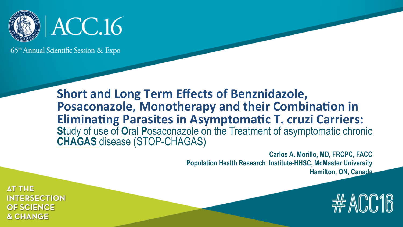

65<sup>th</sup> Annual Scientific Session & Expo

**Short and Long Term Effects of Benznidazole, Posaconazole, Monotherapy and their Combination in Eliminating Parasites in Asymptomatic T. cruzi Carriers: St**udy of use of **O**ral **P**osaconazole on the Treatment of asymptomatic chronic **CHAGAS** disease (STOP-CHAGAS)

> **Carlos A. Morillo, MD, FRCPC, FACC Population Health Research Institute-HHSC, McMaster University Hamilton, ON, Canada**

> > #ACC16

**AT THE INTERSECTION OF SCIENCE & CHANGE**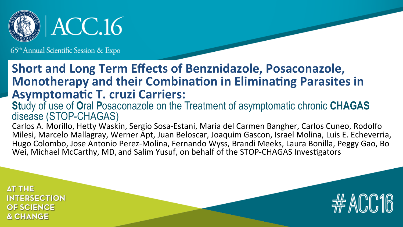

#### 65<sup>th</sup> Annual Scientific Session & Expo

#### **Short and Long Term Effects of Benznidazole, Posaconazole, Monotherapy and their Combination in Eliminating Parasites in Asymptomatic T. cruzi Carriers:**

#### **St**udy of use of **O**ral **P**osaconazole on the Treatment of asymptomatic chronic **CHAGAS**  disease (STOP-CHAGAS)

Carlos A. Morillo, Hetty Waskin, Sergio Sosa-Estani, Maria del Carmen Bangher, Carlos Cuneo, Rodolfo Milesi, Marcelo Mallagray, Werner Apt, Juan Beloscar, Joaquim Gascon, Israel Molina, Luis E. Echeverria, Hugo Colombo, Jose Antonio Perez-Molina, Fernando Wyss, Brandi Meeks, Laura Bonilla, Peggy Gao, Bo Wei, Michael McCarthy, MD, and Salim Yusuf, on behalf of the STOP-CHAGAS Investigators

**AT THE INTERSECTION OF SCIENCE & CHANGE** 

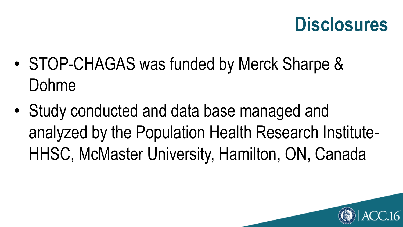## **Disclosures**

- STOP-CHAGAS was funded by Merck Sharpe & Dohme
- Study conducted and data base managed and analyzed by the Population Health Research Institute-HHSC, McMaster University, Hamilton, ON, Canada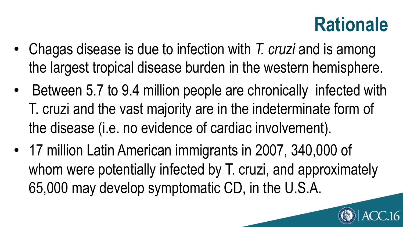## **Rationale**

- Chagas disease is due to infection with *T. cruzi* and is among the largest tropical disease burden in the western hemisphere.
- Between 5.7 to 9.4 million people are chronically infected with T. cruzi and the vast majority are in the indeterminate form of the disease (i.e. no evidence of cardiac involvement).
- 17 million Latin American immigrants in 2007, 340,000 of whom were potentially infected by T. cruzi, and approximately 65,000 may develop symptomatic CD, in the U.S.A.

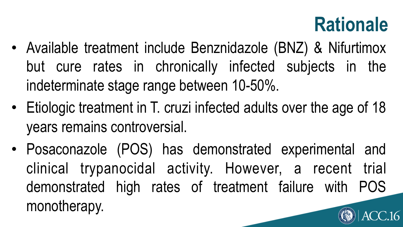## **Rationale**

- Available treatment include Benznidazole (BNZ) & Nifurtimox but cure rates in chronically infected subjects in the indeterminate stage range between 10-50%.
- Etiologic treatment in T. cruzi infected adults over the age of 18 years remains controversial.
- Posaconazole (POS) has demonstrated experimental and clinical trypanocidal activity. However, a recent trial demonstrated high rates of treatment failure with POS monotherapy.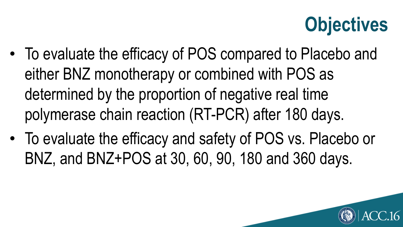## **Objectives**

- To evaluate the efficacy of POS compared to Placebo and either BNZ monotherapy or combined with POS as determined by the proportion of negative real time polymerase chain reaction (RT-PCR) after 180 days.
- To evaluate the efficacy and safety of POS vs. Placebo or BNZ, and BNZ+POS at 30, 60, 90, 180 and 360 days.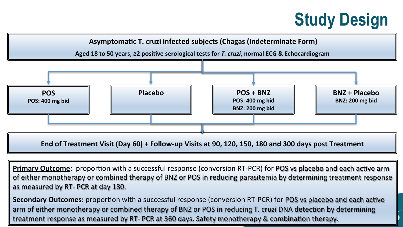### **Study Design**



**Primary Outcome:** proportion with a successful response (conversion RT-PCR) for POS vs placebo and each active arm of either monotherapy or combined therapy of BNZ or POS in reducing parasitemia by determining treatment response as measured by RT- PCR at day 180.

**Secondary Outcomes:** proportion with a successful response (conversion RT-PCR) for POS vs placebo and each active arm of either monotherapy or combined therapy of BNZ or POS in reducing T. cruzi DNA detection by determining treatment response as measured by RT- PCR at 360 days. Safety monotherapy & combination therapy.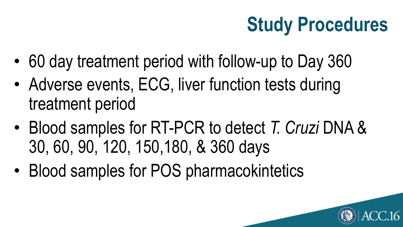## **Study Procedures**

- 60 day treatment period with follow-up to Day 360
- Adverse events, ECG, liver function tests during treatment period
- Blood samples for RT-PCR to detect *T. Cruzi* DNA & 30, 60, 90, 120, 150,180, & 360 days
- Blood samples for POS pharmacokintetics

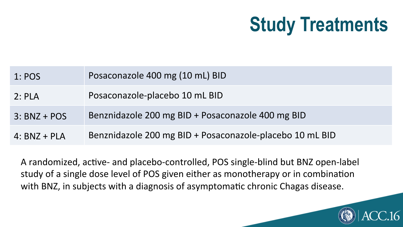## **Study Treatments**

| 1: POS         | Posaconazole 400 mg (10 mL) BID                          |
|----------------|----------------------------------------------------------|
| 2:PLA          | Posaconazole-placebo 10 mL BID                           |
| $3: BNZ + POS$ | Benznidazole 200 mg BID + Posaconazole 400 mg BID        |
| $4: BNZ + PLA$ | Benznidazole 200 mg BID + Posaconazole-placebo 10 mL BID |

A randomized, active- and placebo-controlled, POS single-blind but BNZ open-label study of a single dose level of POS given either as monotherapy or in combination with BNZ, in subjects with a diagnosis of asymptomatic chronic Chagas disease.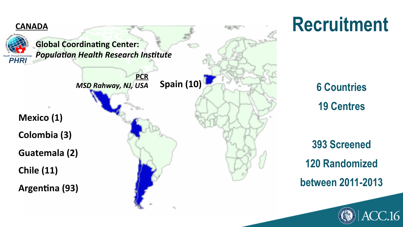

## **Recruitment**

**6 Countries 19 Centres**

**393 Screened 120 Randomized between 2011-2013** 

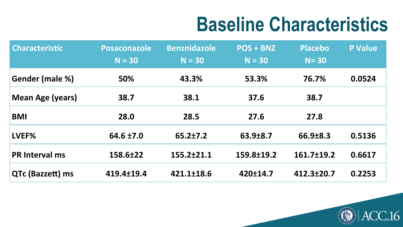## **Baseline Characteristics**

16

| <b>Characteristic</b>   | <b>Posaconazole</b><br>$N = 30$ | <b>Benznidazole</b><br>$N = 30$ | <b>POS + BNZ</b><br>$N = 30$ | <b>Placebo</b><br>$N = 30$ | <b>P Value</b> |
|-------------------------|---------------------------------|---------------------------------|------------------------------|----------------------------|----------------|
|                         |                                 |                                 |                              |                            |                |
| Gender (male %)         | 50%                             | 43.3%                           | 53.3%                        | 76.7%                      | 0.0524         |
| <b>Mean Age (years)</b> | 38.7                            | 38.1                            | 37.6                         | 38.7                       |                |
| <b>BMI</b>              | 28.0                            | 28.5                            | 27.6                         | 27.8                       |                |
| LVEF%                   | 64.6 ±7.0                       | $65.2 \pm 7.2$                  | 63.9±8.7                     | $66.9 \pm 8.3$             | 0.5136         |
| <b>PR Interval ms</b>   | 158.6±22                        | 155.2±21.1                      | 159.8±19.2                   | $161.7 \pm 19.2$           | 0.6617         |
| QTc (Bazzett) ms        | 419.4±19.4                      | 421.1±18.6                      | 420±14.7                     | 412.3±20.7                 | 0.2253         |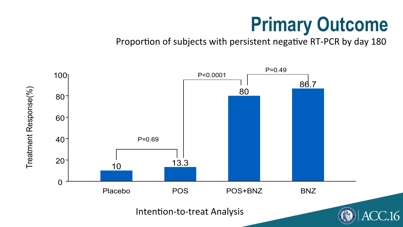# **Primary Outcome**

Intention-to-Treat Analysis Proportion of subjects with persistent negative RT-PCR by day 180

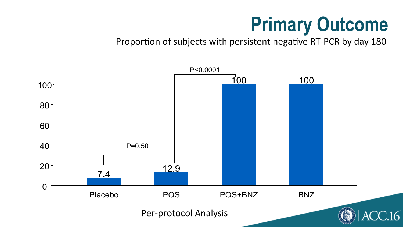# **Primary Outcome**

Proportion of subjects with persistent negative RT-PCR by day 180

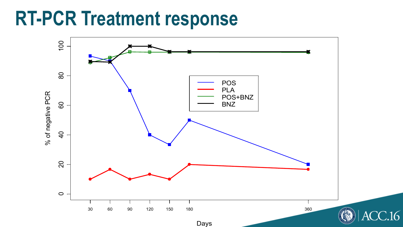## **RT-PCR Treatment response**

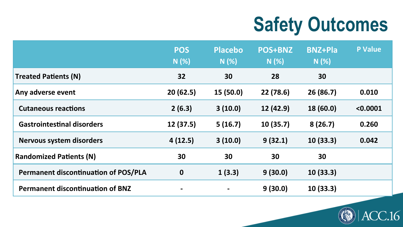# **Safety Outcomes**

|                                             | <b>POS</b><br>N(%) | <b>Placebo</b><br>N(%) | <b>POS+BNZ</b><br>N(%) | <b>BNZ+Pla</b><br>$N(\%)$ | <b>P Value</b> |
|---------------------------------------------|--------------------|------------------------|------------------------|---------------------------|----------------|
| <b>Treated Patients (N)</b>                 | 32                 | 30                     | 28                     | 30                        |                |
| Any adverse event                           | 20(62.5)           | 15 (50.0)              | 22 (78.6)              | 26 (86.7)                 | 0.010          |
| <b>Cutaneous reactions</b>                  | 2(6.3)             | 3(10.0)                | 12 (42.9)              | 18 (60.0)                 | < 0.0001       |
| <b>Gastrointestinal disorders</b>           | 12 (37.5)          | 5(16.7)                | 10(35.7)               | 8(26.7)                   | 0.260          |
| <b>Nervous system disorders</b>             | 4(12.5)            | 3(10.0)                | 9(32.1)                | 10(33.3)                  | 0.042          |
| <b>Randomized Patients (N)</b>              | 30                 | 30                     | 30                     | 30                        |                |
| <b>Permanent discontinuation of POS/PLA</b> | $\mathbf 0$        | 1(3.3)                 | 9(30.0)                | 10(33.3)                  |                |
| <b>Permanent discontinuation of BNZ</b>     |                    | $\blacksquare$         | 9(30.0)                | 10(33.3)                  |                |

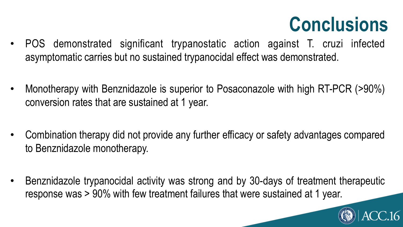## **Conclusions**

- POS demonstrated significant trypanostatic action against T. cruzi infected asymptomatic carries but no sustained trypanocidal effect was demonstrated.
- Monotherapy with Benznidazole is superior to Posaconazole with high RT-PCR (>90%) conversion rates that are sustained at 1 year.
- Combination therapy did not provide any further efficacy or safety advantages compared to Benznidazole monotherapy.
- Benznidazole trypanocidal activity was strong and by 30-days of treatment therapeutic response was > 90% with few treatment failures that were sustained at 1 year.

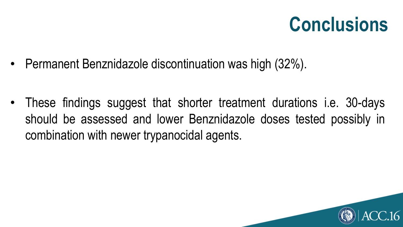## **Conclusions**

• Permanent Benznidazole discontinuation was high (32%).

• These findings suggest that shorter treatment durations i.e. 30-days should be assessed and lower Benznidazole doses tested possibly in combination with newer trypanocidal agents.

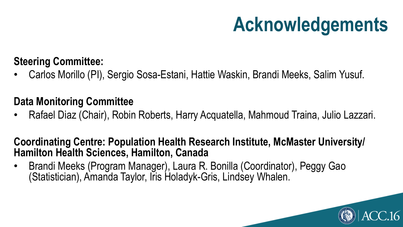# **Acknowledgements**

#### **Steering Committee:**

• Carlos Morillo (PI), Sergio Sosa-Estani, Hattie Waskin, Brandi Meeks, Salim Yusuf.

#### **Data Monitoring Committee**

• Rafael Diaz (Chair), Robin Roberts, Harry Acquatella, Mahmoud Traina, Julio Lazzari.

#### **Coordinating Centre: Population Health Research Institute, McMaster University/ Hamilton Health Sciences, Hamilton, Canada**

• Brandi Meeks (Program Manager), Laura R. Bonilla (Coordinator), Peggy Gao (Statistician), Amanda Taylor, Iris Holadyk-Gris, Lindsey Whalen.